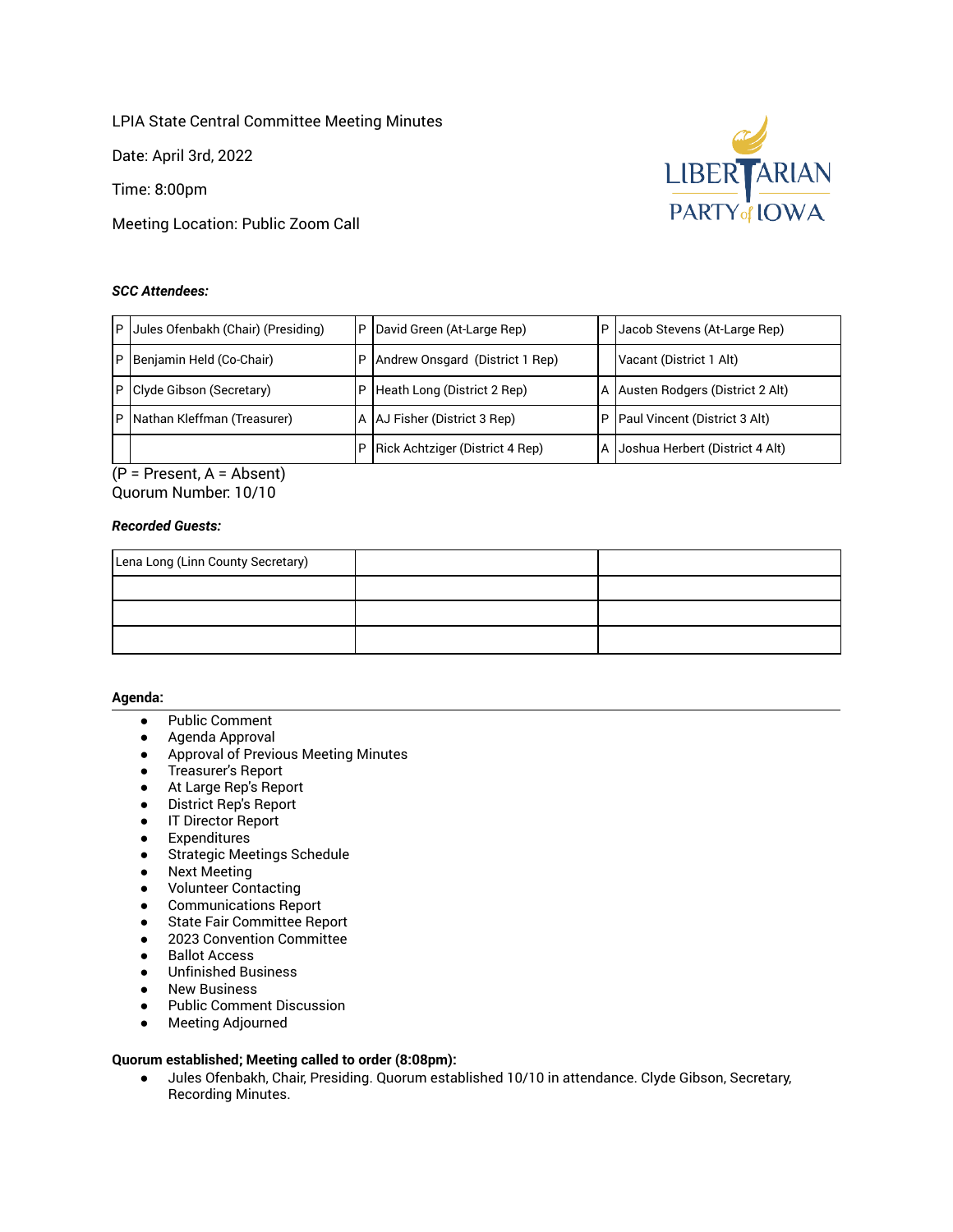LPIA State Central Committee Meeting Minutes

Date: April 3rd, 2022

Time: 8:00pm

Meeting Location: Public Zoom Call

# *SCC Attendees:*



 (P = Present, A = Absent) Quorum Number: 10/10

# *Recorded Guests:*

| Lena Long (Linn County Secretary) |  |
|-----------------------------------|--|
|                                   |  |
|                                   |  |
|                                   |  |

## **Agenda:**

- Public Comment
- Agenda Approval
- Approval of Previous Meeting Minutes
- Treasurer's Report
- At Large Rep's Report
- District Rep's Report
- IT Director Report
- Expenditures
- Strategic Meetings Schedule
- Next Meeting
- Volunteer Contacting
- Communications Report
- State Fair Committee Report
- 2023 Convention Committee
- Ballot Access
- Unfinished Business
- **New Business**
- Public Comment Discussion
- Meeting Adjourned

# **Quorum established; Meeting called to order (8:08pm):**

 ● Jules Ofenbakh, Chair, Presiding. Quorum established 10/10 in attendance. Clyde Gibson, Secretary, Recording Minutes.

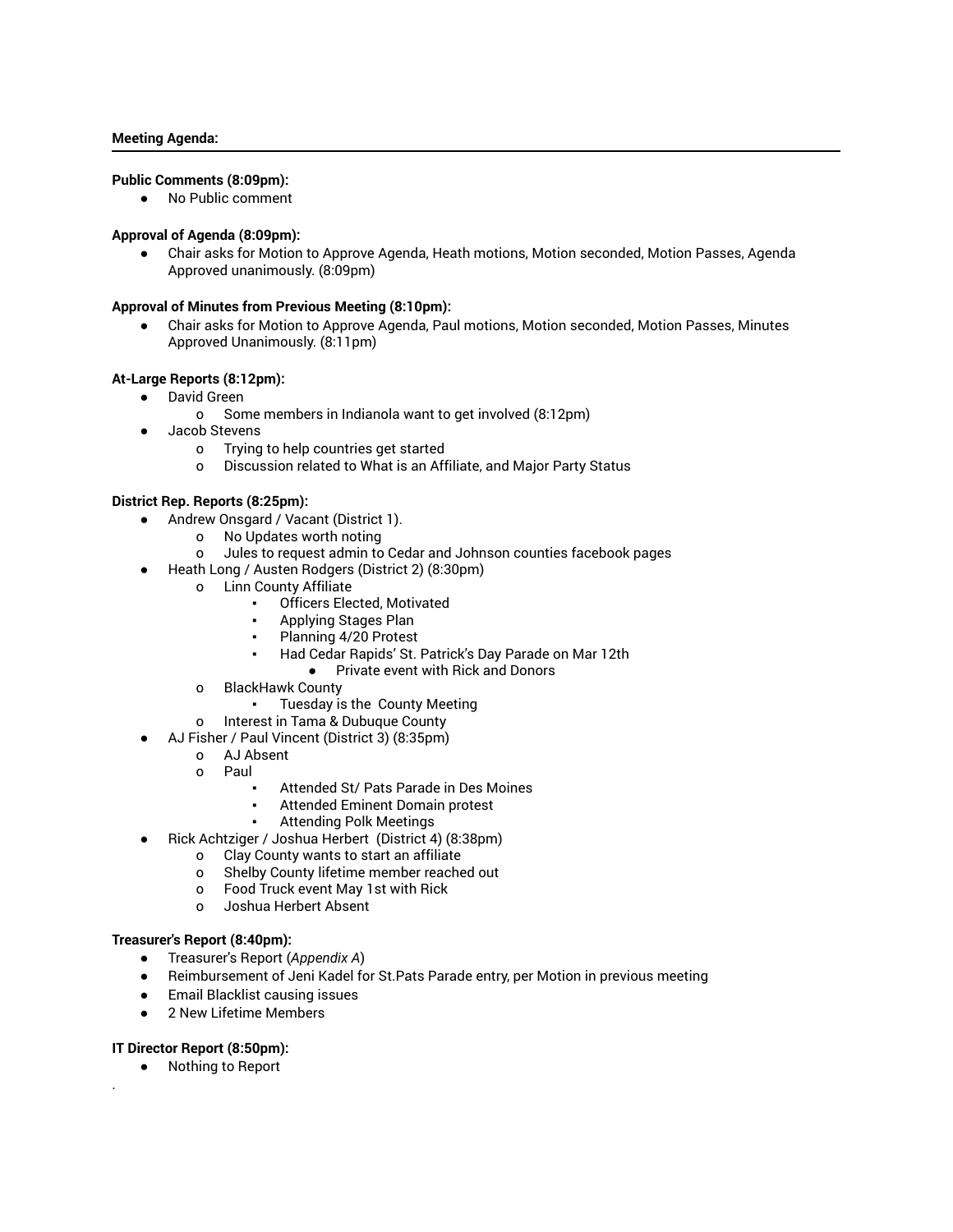### **Meeting Agenda:**

## **Public Comments (8:09pm):**

● No Public comment

### **Approval of Agenda (8:09pm):**

 ● Chair asks for Motion to Approve Agenda, Heath motions, Motion seconded, Motion Passes, Agenda Approved unanimously. (8:09pm)

#### **Approval of Minutes from Previous Meeting (8:10pm):**

Chair asks for Motion to Approve Agenda, Paul motions, Motion seconded, Motion Passes, Minutes Approved Unanimously. (8:11pm)

# **At-Large Reports (8:12pm):**

- David Green
	- o Some members in Indianola want to get involved (8:12pm)
- Jacob Stevens
	- o Trying to help countries get started
	- o Discussion related to What is an Affiliate, and Major Party Status

#### **District Rep. Reports (8:25pm):**

- Andrew Onsgard / Vacant (District 1).
	- o No Updates worth noting
	- o Jules to request admin to Cedar and Johnson counties facebook pages
- Heath Long / Austen Rodgers (District 2) (8:30pm)
	- o Linn County Affiliate
		- Officers Elected, Motivated
		- Applying Stages Plan
		- Planning 4/20 Protest
		- Had Cedar Rapids' St. Patrick's Day Parade on Mar 12th
			- Private event with Rick and Donors
	- o BlackHawk County
		- Tuesday is the County Meeting
	- o Interest in Tama & Dubuque County
	- AJ Fisher / Paul Vincent (District 3) (8:35pm)
		- o AJ Absent
		- o Paul
			- Attended St/ Pats Parade in Des Moines
			- Attended Eminent Domain protest
				- **Attending Polk Meetings**
- Rick Achtziger / Joshua Herbert (District 4) (8:38pm)
	- o Clay County wants to start an affiliate
	- o Shelby County lifetime member reached out
	- o Food Truck event May 1st with Rick
	- o Joshua Herbert Absent

#### **Treasurer's Report (8:40pm):**

- Treasurer's Report ( *Appendix A* )
- Reimbursement of Jeni Kadel for St.Pats Parade entry, per Motion in previous meeting
- Email Blacklist causing issues
- 2 New Lifetime Members

#### **IT Director Report (8:50pm):**

.

● Nothing to Report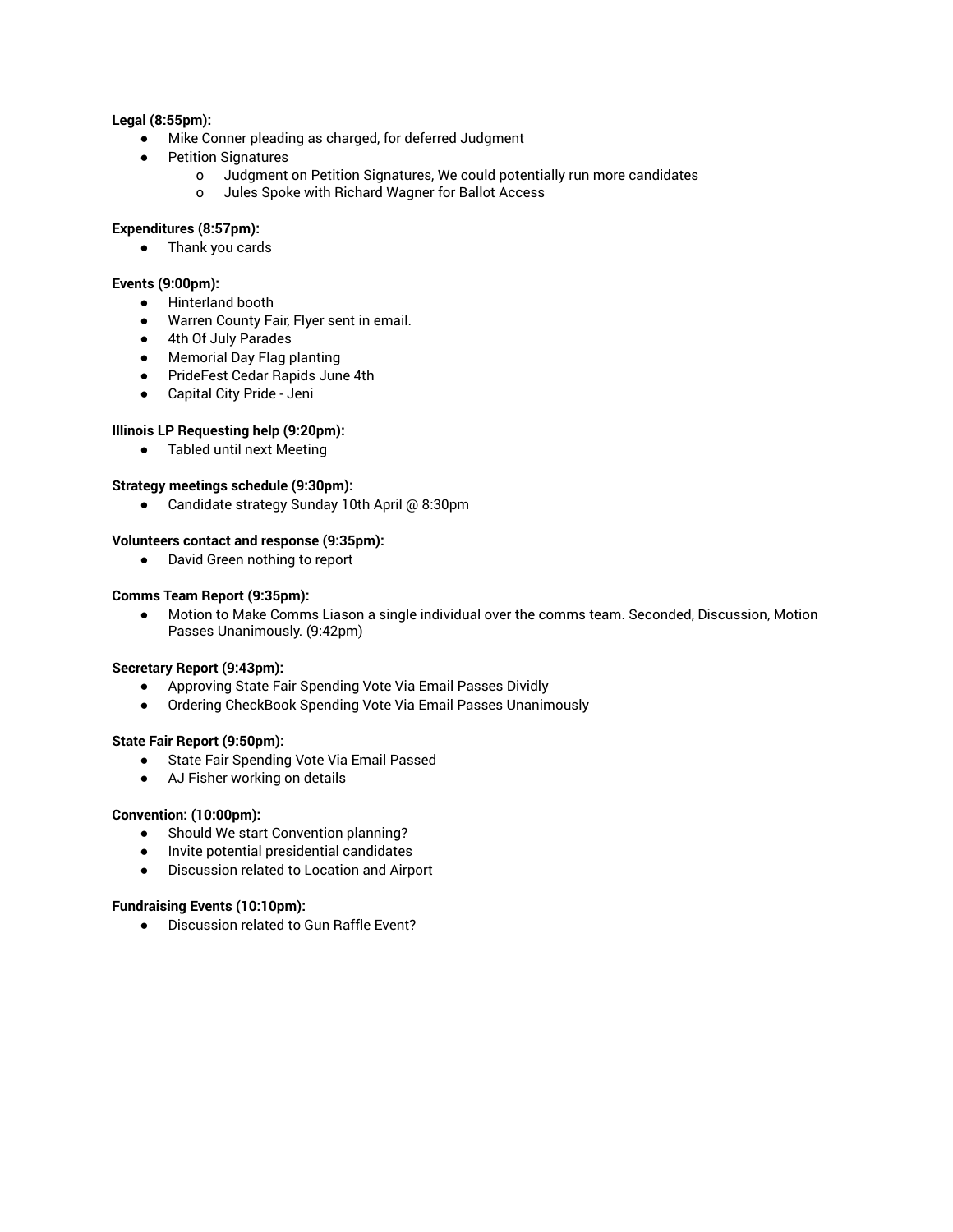# **Legal (8:55pm):**

- Mike Conner pleading as charged, for deferred Judgment
- **Petition Signatures** 
	- o Judgment on Petition Signatures, We could potentially run more candidates
	- o Jules Spoke with Richard Wagner for Ballot Access

## **Expenditures (8:57pm):**

● Thank you cards

# **Events (9:00pm):**

- Hinterland booth
- Warren County Fair, Flyer sent in email.
- 4th Of July Parades
- Memorial Day Flag planting
- PrideFest Cedar Rapids June 4th
- Capital City Pride Jeni

# **Illinois LP Requesting help (9:20pm):**

● Tabled until next Meeting

# **Strategy meetings schedule (9:30pm):**

● Candidate strategy Sunday 10th April @ 8:30pm

## **Volunteers contact and response (9:35pm):**

● David Green nothing to report

## **Comms Team Report (9:35pm):**

 ● Motion to Make Comms Liason a single individual over the comms team. Seconded, Discussion, Motion Passes Unanimously. (9:42pm)

## **Secretary Report (9:43pm):**

- Approving State Fair Spending Vote Via Email Passes Dividly
- Ordering CheckBook Spending Vote Via Email Passes Unanimously

## **State Fair Report (9:50pm):**

- State Fair Spending Vote Via Email Passed
- AJ Fisher working on details

# **Convention: (10:00pm):**

- Should We start Convention planning?
- Invite potential presidential candidates
- Discussion related to Location and Airport

# **Fundraising Events (10:10pm):**

● Discussion related to Gun Raffle Event?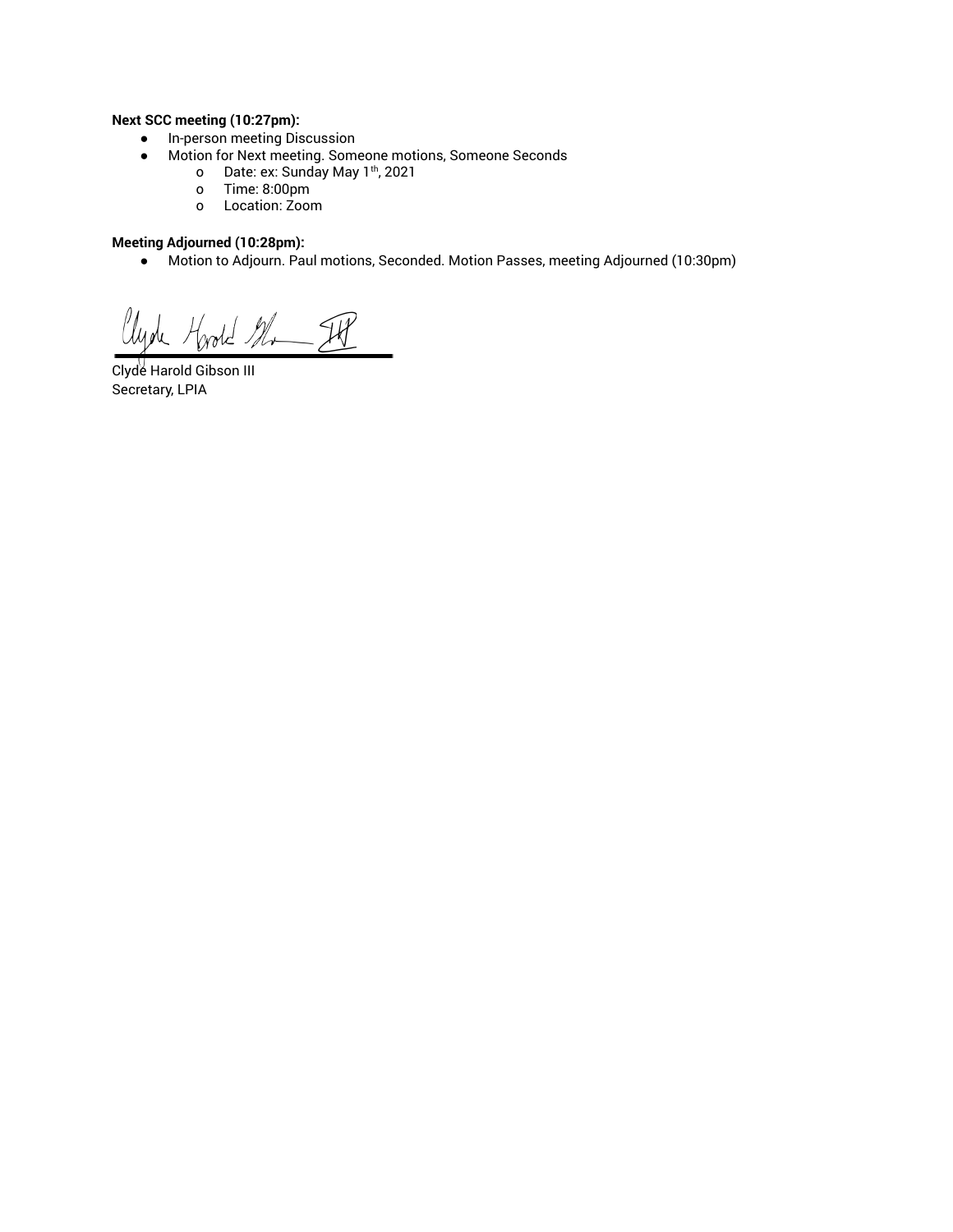# **Next SCC meeting (10:27pm):**

- In-person meeting Discussion
- Motion for Next meeting. Someone motions, Someone Seconds
	- o Date: ex: Sunday May 1<sup>th</sup>, 2021
	- o Time: 8:00pm
	- o Location: Zoom

# **Meeting Adjourned (10:28pm):**

● Motion to Adjourn. Paul motions, Seconded. Motion Passes, meeting Adjourned (10:30pm)

Clyde Hoold Mr IP

 Clyde Harold Gibson III Secretary, LPIA